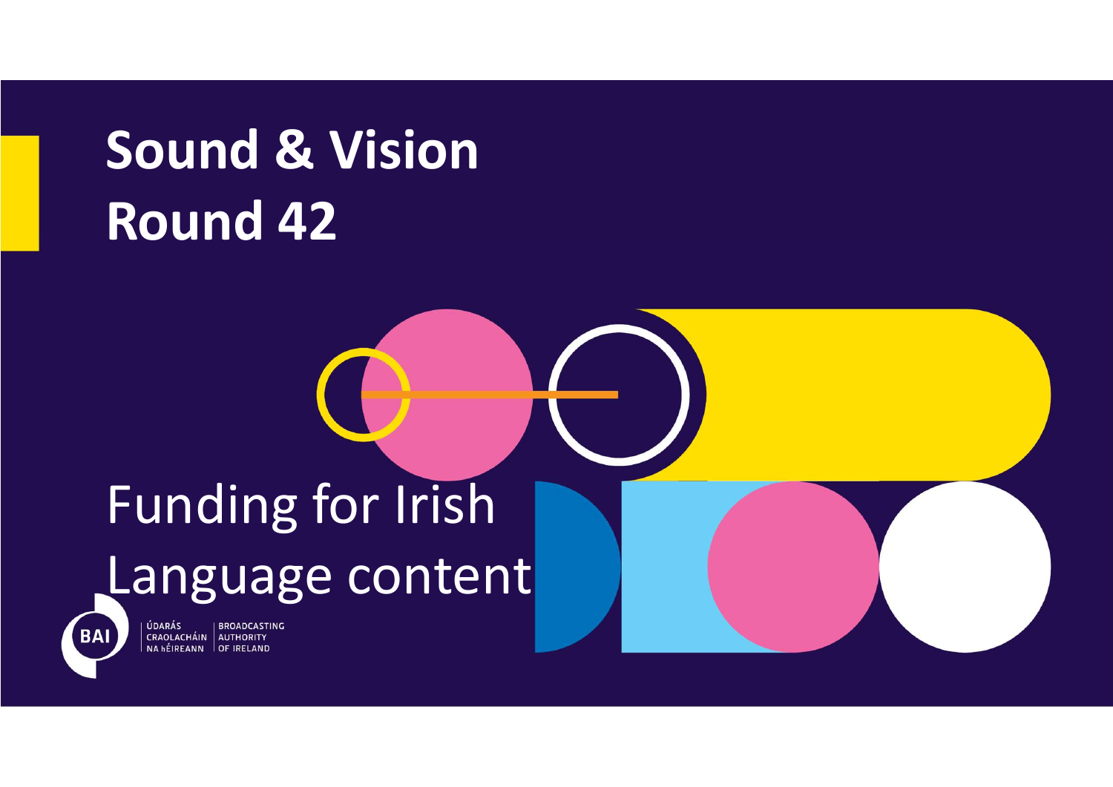# Sound & Vision Sound & Vision

# Funding for Irish Language content



ÚDARÁS **BROADCASTING** CRAOLACHÁIN AUTHORITY<br>NA hÉIREANN OF IRELAND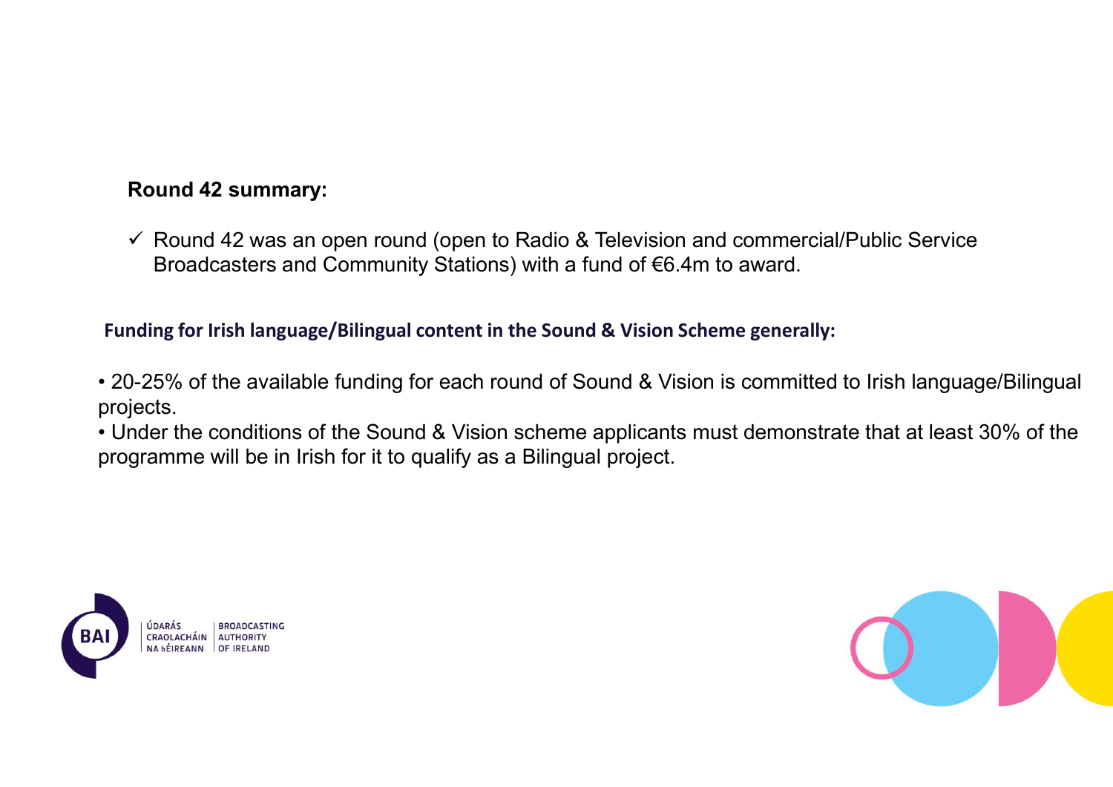# Round 42 summary:

 $\checkmark$  Round 42 was an open round (open to Radio & Television and commercial/Public Service Broadcasters and Community Stations) with a fund of €6.4m to award.

- Fractional And Alternative means of the Sound (open to Radio & Television and commercial/Public Service<br>
Broadcasters and Community Stations) with a fund of €6.4m to award.<br>
Funding for Irish language/Bilingual content in projects.
- **20-25% of the available funding for each round of Sound A2** vas an open round (open to Radio & Television and commercial/Public Service Broadcasters and Community Stations) with a fund of €6.4m to award.<br> **Funding for** • V Round 42 summary:<br>
• V Round 42 was an open round (open to Radio & Television and commercial/Public Service<br>
Broadcasters and Community Stations) with a fund of €6.4m to award.<br>
• 20-25% of the available funding for programme will be in Irish for it to qualify as a Bilingual project.



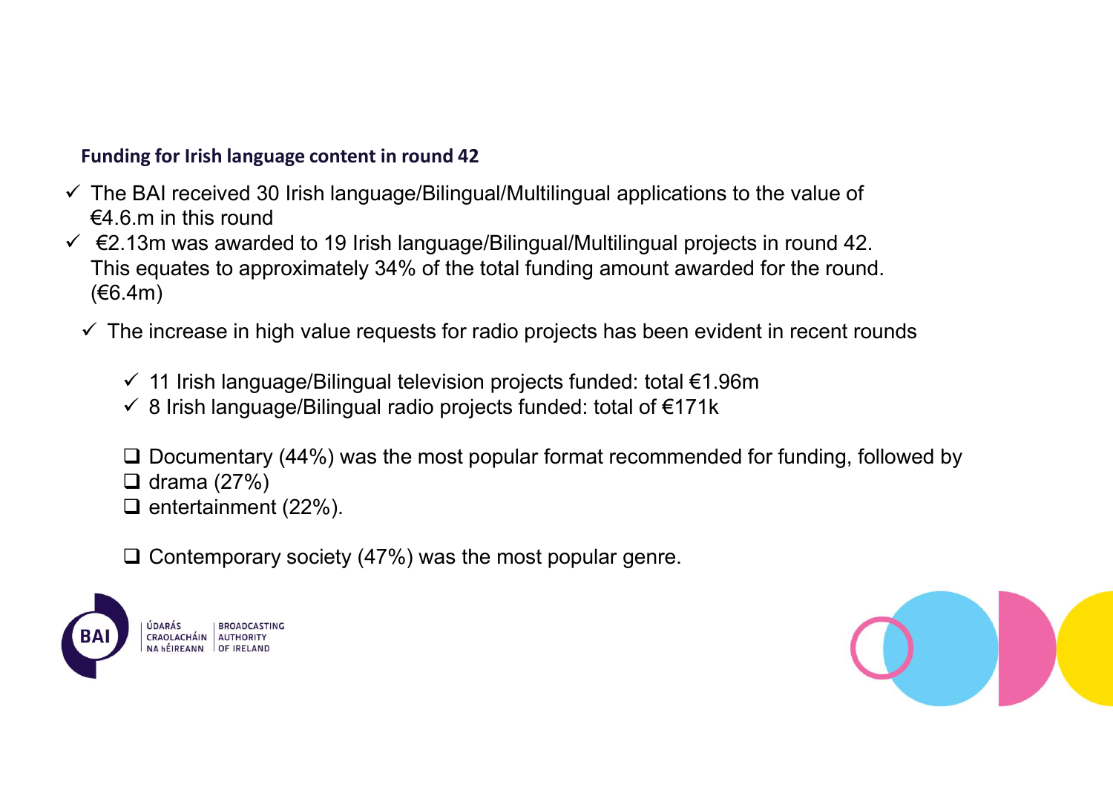- Funding for Irish language content in round 42<br>The BAI received 30 Irish language/Bilingual/Multilingual applications to the value of<br>€4.6.m in this round<br>€2.13m was awarded to 19 Irish language/Bilingual/Multilingual pro  $\checkmark$  The BAI received 30 Irish language/Bilingual/Multilingual applications to the value of  $€4.6$  m in this round
- Funding for Irish language content in round 42<br>  $\checkmark$  The BAI received 30 Irish language/Bilingual/Multilingual applications to the value of<br>  $\in$ 4.6.m in this round<br>  $\checkmark$  E2.13m was awarded to 19 Irish language/Bilingu This equates to approximately 34% of the total funding amount awarded for the round. (€6.4m)
	- $\checkmark$  The increase in high value requests for radio projects has been evident in recent rounds
		- $\checkmark$  11 Irish language/Bilingual television projects funded: total  $\in$ 1.96m
		- $\checkmark$  8 Irish language/Bilingual radio projects funded: total of  $\epsilon$ 171k
		- $\square$  Documentary (44%) was the most popular format recommended for funding, followed by
		- $\Box$  drama (27%)
		- $\Box$  entertainment (22%).
		- $\Box$  Contemporary society (47%) was the most popular genre.